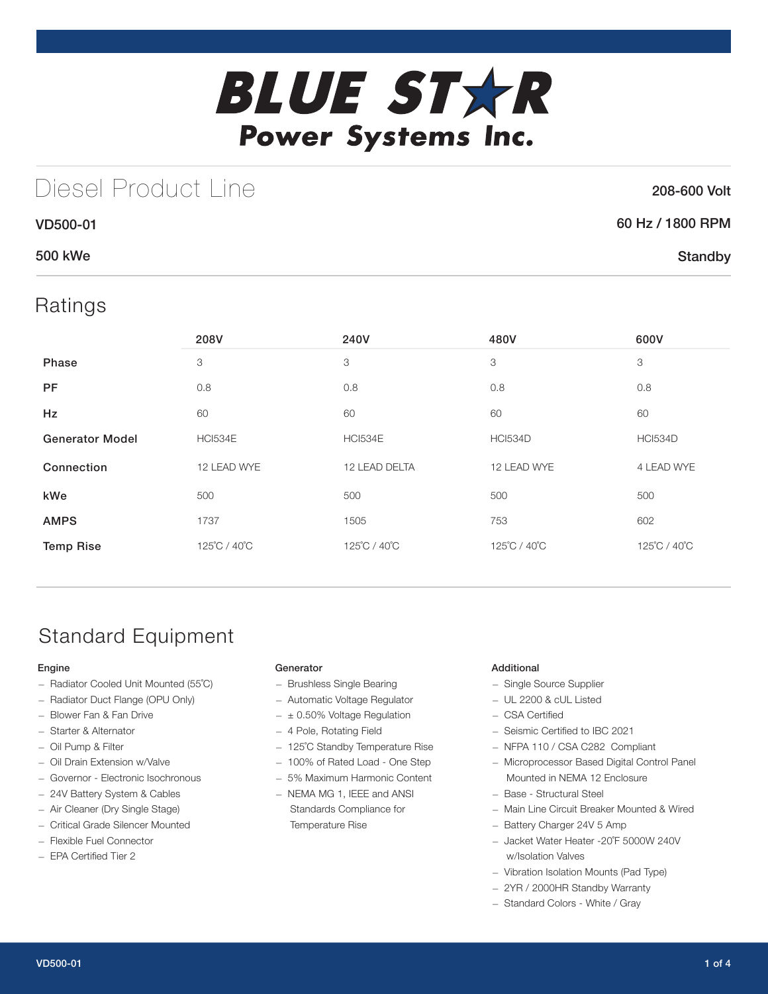

# Diesel Product Line

### 208-600 Volt

| <b>VD500-01</b> | 60 Hz / 1800 RPM |
|-----------------|------------------|
| <b>500 kWe</b>  | Standby          |

## Ratings

|                        | 208V           | 240V           | 480V           | 600V           |
|------------------------|----------------|----------------|----------------|----------------|
| Phase                  | 3              | 3              | 3              | 3              |
| <b>PF</b>              | 0.8            | 0.8            | 0.8            | 0.8            |
| <b>Hz</b>              | 60             | 60             | 60             | 60             |
| <b>Generator Model</b> | <b>HCI534E</b> | <b>HCI534E</b> | <b>HCI534D</b> | <b>HCI534D</b> |
| Connection             | 12 LEAD WYE    | 12 LEAD DELTA  | 12 LEAD WYE    | 4 LEAD WYE     |
| kWe                    | 500            | 500            | 500            | 500            |
| <b>AMPS</b>            | 1737           | 1505           | 753            | 602            |
| <b>Temp Rise</b>       | 125°C / 40°C   | 125°C / 40°C   | 125°C / 40°C   | 125°C / 40°C   |

## Standard Equipment

### Engine

- Radiator Cooled Unit Mounted (55˚C)
- Radiator Duct Flange (OPU Only)
- Blower Fan & Fan Drive
- Starter & Alternator
- Oil Pump & Filter
- Oil Drain Extension w/Valve
- Governor Electronic Isochronous
- 24V Battery System & Cables
- Air Cleaner (Dry Single Stage)
- Critical Grade Silencer Mounted
- Flexible Fuel Connector
- EPA Certified Tier 2

#### **Generator**

- Brushless Single Bearing
- Automatic Voltage Regulator
- $\pm$  0.50% Voltage Regulation
- 4 Pole, Rotating Field
- 125˚C Standby Temperature Rise
- 100% of Rated Load One Step
- 5% Maximum Harmonic Content
- NEMA MG 1, IEEE and ANSI Standards Compliance for Temperature Rise

### Additional

- Single Source Supplier
- UL 2200 & cUL Listed
- CSA Certified
- Seismic Certified to IBC 2021
- NFPA 110 / CSA C282 Compliant
- Microprocessor Based Digital Control Panel Mounted in NEMA 12 Enclosure
- Base Structural Steel
- Main Line Circuit Breaker Mounted & Wired
- Battery Charger 24V 5 Amp
- Jacket Water Heater -20˚F 5000W 240V w/Isolation Valves
- Vibration Isolation Mounts (Pad Type)
- 2YR / 2000HR Standby Warranty
- Standard Colors White / Gray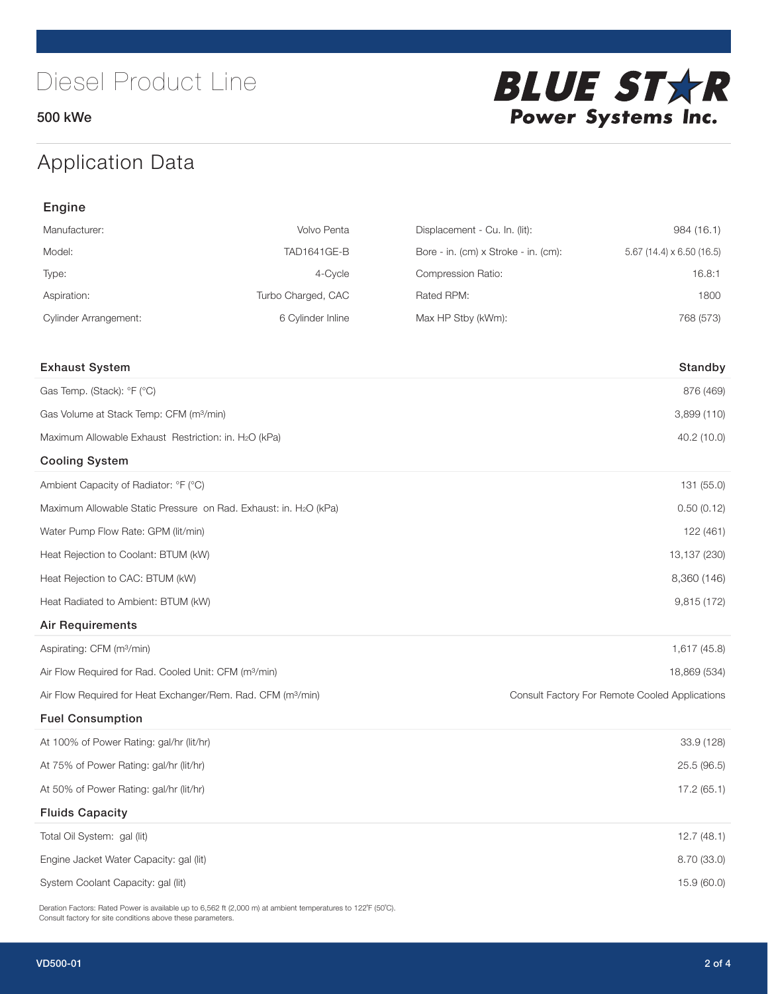500 kWe



## Application Data

| Engine                                                                   |                    |                                      |                                                |  |
|--------------------------------------------------------------------------|--------------------|--------------------------------------|------------------------------------------------|--|
| Manufacturer:                                                            | Volvo Penta        | Displacement - Cu. In. (lit):        | 984 (16.1)                                     |  |
| Model:                                                                   | <b>TAD1641GE-B</b> | Bore - in. (cm) x Stroke - in. (cm): | 5.67 (14.4) $\times$ 6.50 (16.5)               |  |
| Type:                                                                    | 4-Cycle            | Compression Ratio:                   | 16.8:1                                         |  |
| Aspiration:                                                              | Turbo Charged, CAC | Rated RPM:                           | 1800                                           |  |
| <b>Cylinder Arrangement:</b>                                             | 6 Cylinder Inline  | Max HP Stby (kWm):                   | 768 (573)                                      |  |
| <b>Exhaust System</b>                                                    |                    |                                      | Standby                                        |  |
| Gas Temp. (Stack): °F (°C)                                               |                    |                                      | 876 (469)                                      |  |
| Gas Volume at Stack Temp: CFM (m <sup>3</sup> /min)                      |                    |                                      | 3,899 (110)                                    |  |
| Maximum Allowable Exhaust Restriction: in. H2O (kPa)                     |                    |                                      | 40.2 (10.0)                                    |  |
| <b>Cooling System</b>                                                    |                    |                                      |                                                |  |
| Ambient Capacity of Radiator: °F (°C)                                    |                    |                                      | 131 (55.0)                                     |  |
| Maximum Allowable Static Pressure on Rad. Exhaust: in. H2O (kPa)         |                    |                                      | 0.50(0.12)                                     |  |
| Water Pump Flow Rate: GPM (lit/min)                                      |                    |                                      | 122 (461)                                      |  |
| Heat Rejection to Coolant: BTUM (kW)                                     |                    |                                      | 13,137 (230)                                   |  |
| Heat Rejection to CAC: BTUM (kW)                                         |                    |                                      | 8,360 (146)                                    |  |
| Heat Radiated to Ambient: BTUM (kW)                                      |                    |                                      | 9,815 (172)                                    |  |
| <b>Air Requirements</b>                                                  |                    |                                      |                                                |  |
| Aspirating: CFM (m <sup>3</sup> /min)                                    |                    |                                      | 1,617 (45.8)                                   |  |
| Air Flow Required for Rad. Cooled Unit: CFM (m <sup>3</sup> /min)        |                    |                                      | 18,869 (534)                                   |  |
| Air Flow Required for Heat Exchanger/Rem. Rad. CFM (m <sup>3</sup> /min) |                    |                                      | Consult Factory For Remote Cooled Applications |  |
| <b>Fuel Consumption</b>                                                  |                    |                                      |                                                |  |
| At 100% of Power Rating: gal/hr (lit/hr)                                 |                    |                                      | 33.9 (128)                                     |  |
| At 75% of Power Rating: gal/hr (lit/hr)                                  |                    | 25.5 (96.5)                          |                                                |  |
| At 50% of Power Rating: gal/hr (lit/hr)                                  |                    |                                      | 17.2(65.1)                                     |  |
| <b>Fluids Capacity</b>                                                   |                    |                                      |                                                |  |
| Total Oil System: gal (lit)                                              |                    |                                      | 12.7(48.1)                                     |  |
| Engine Jacket Water Capacity: gal (lit)                                  |                    |                                      | 8.70 (33.0)                                    |  |
| System Coolant Capacity: gal (lit)                                       |                    |                                      | 15.9 (60.0)                                    |  |

Deration Factors: Rated Power is available up to 6,562 ft (2,000 m) at ambient temperatures to 122°F (50°C). Consult factory for site conditions above these parameters.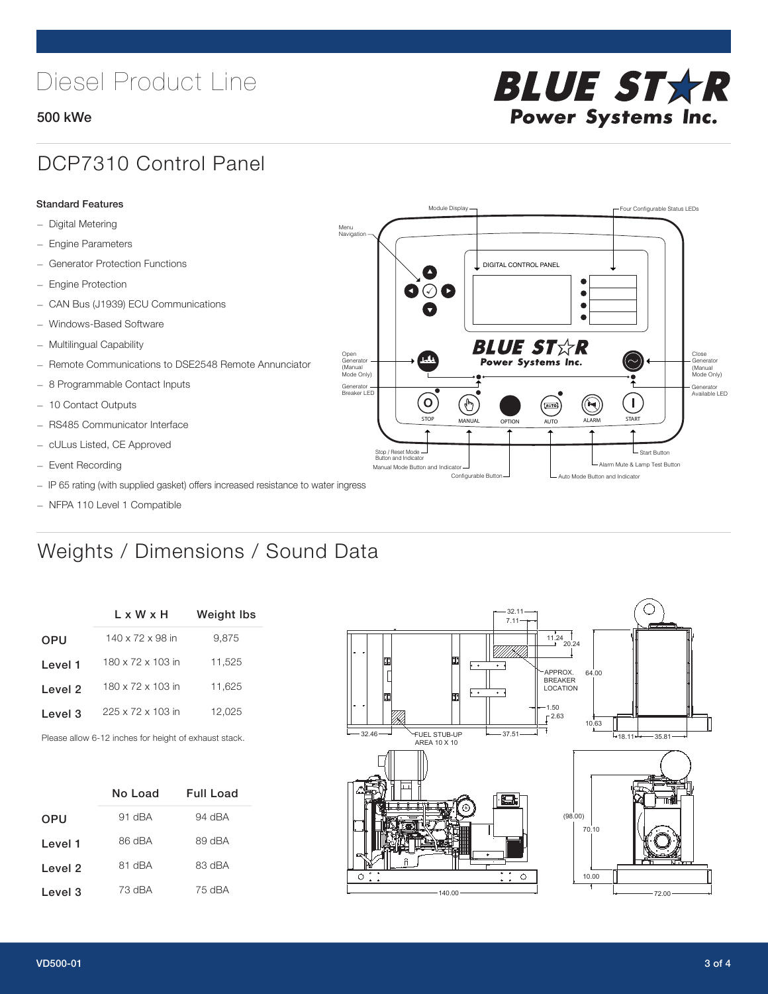# Diesel Product Line

### 500 kWe



## DCP7310 Control Panel

#### Standard Features

- Digital Metering
- Engine Parameters
- Generator Protection Functions
- Engine Protection
- CAN Bus (J1939) ECU Communications
- Windows-Based Software
- Multilingual Capability
- Remote Communications to DSE2548 Remote Annunciator
- 8 Programmable Contact Inputs
- 10 Contact Outputs
- RS485 Communicator Interface
- cULus Listed, CE Approved
- Event Recording
- IP 65 rating (with supplied gasket) offers increased resistance to water ingress
- NFPA 110 Level 1 Compatible

## Weights / Dimensions / Sound Data

|            | L x W x H                    | <b>Weight Ibs</b> |  |  |
|------------|------------------------------|-------------------|--|--|
| <b>OPU</b> | $140 \times 72 \times 98$ in | 9,875             |  |  |
| Level 1    | 180 x 72 x 103 in            | 11,525            |  |  |
| Level 2    | 180 x 72 x 103 in            | 11.625            |  |  |
| Level 3    | 225 x 72 x 103 in            | 12,025            |  |  |
|            |                              |                   |  |  |

Please allow 6-12 inches for height of exhaust stack.

|            | <b>Full Load</b><br>No Load |        |
|------------|-----------------------------|--------|
| <b>OPU</b> | 91 dBA                      | 94 dBA |
| Level 1    | 86 dBA                      | 89 dBA |
| Level 2    | 81 dBA                      | 83 dBA |
| Level 3    | 73 dBA                      | 75 dBA |



STOP MANUAL OPTION AUTO ALARM START

[AUTO]

**BLUE STAR** Power Systems Inc.

Manual Mode Button and Indicator United States and Indicator United States and Indicator United States and Indicator United States and Indicator United States and Indicator United States and Indicator United States and Ind Configurable Button -  $\Box$  Auto Mode Button and Indicator

DIGITAL CONTROL PANEL

Module Display  $\Box$ 

 $\bullet$  $\bullet$  $\bullet$ 

 $\circledcirc$ 

Menu Navigation

Open Generator (Manual Mode Only)

Generator Breaker LED

Stop / Reset Mode Button and Indicator

 $\bullet$  $\overline{\bullet}$ 

 $\sigma$ 

՟Պ

Close Generator (Manual Mode Only)

Generator Available LED

- Start Button

 $\blacksquare$